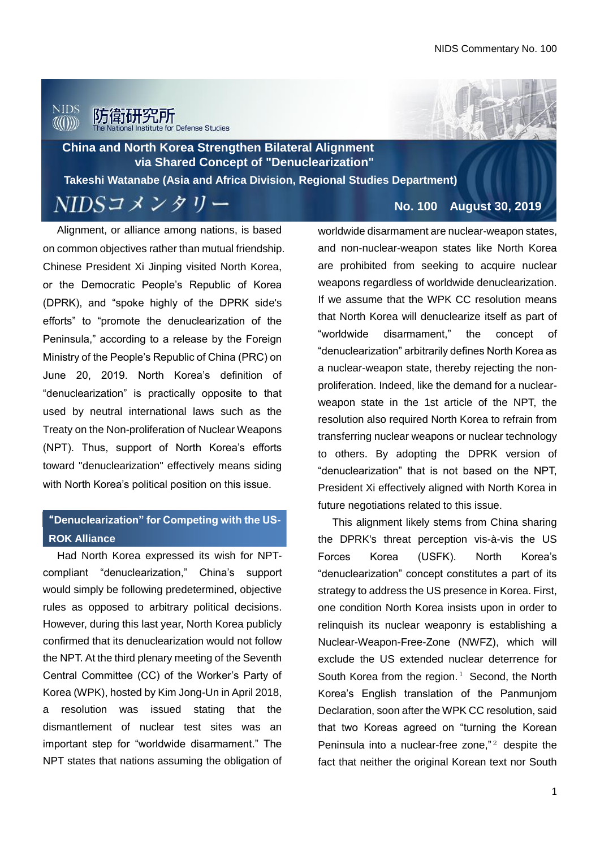## **NIDS** 防衛研究所



**China and North Korea Strengthen Bilateral Alignment via Shared Concept of "Denuclearization"**

**Takeshi Watanabe (Asia and Africa Division, Regional Studies Department)**

NIDSコメンタリー

Alignment, or alliance among nations, is based on common objectives rather than mutual friendship. Chinese President Xi Jinping visited North Korea, or the Democratic People's Republic of Korea (DPRK), and "spoke highly of the DPRK side's efforts" to "promote the denuclearization of the Peninsula," according to a release by the Foreign Ministry of the People's Republic of China (PRC) on June 20, 2019. North Korea's definition of "denuclearization" is practically opposite to that used by neutral international laws such as the Treaty on the Non-proliferation of Nuclear Weapons (NPT). Thus, support of North Korea's efforts toward "denuclearization" effectively means siding with North Korea's political position on this issue.

#### During the Cold War, the relations of Pakistan and **ROK Alliance** "**Denuclearization" for Competing with the US-**

Had North Korea expressed its wish for NPTcompliant "denuclearization," China's support would simply be following predetermined, objective rules as opposed to arbitrary political decisions. However, during this last year, North Korea publicly confirmed that its denuclearization would not follow the NPT. At the third plenary meeting of the Seventh Central Committee (CC) of the Worker's Party of Korea (WPK), hosted by Kim Jong-Un in April 2018, a resolution was issued stating that the dismantlement of nuclear test sites was an important step for "worldwide disarmament." The NPT states that nations assuming the obligation of **No. 100 August 30, 2019**

worldwide disarmament are nuclear-weapon states, and non-nuclear-weapon states like North Korea are prohibited from seeking to acquire nuclear weapons regardless of worldwide denuclearization. If we assume that the WPK CC resolution means that North Korea will denuclearize itself as part of "worldwide disarmament," the concept of "denuclearization" arbitrarily defines North Korea as a nuclear-weapon state, thereby rejecting the nonproliferation. Indeed, like the demand for a nuclearweapon state in the 1st article of the NPT, the resolution also required North Korea to refrain from transferring nuclear weapons or nuclear technology to others. By adopting the DPRK version of "denuclearization" that is not based on the NPT, President Xi effectively aligned with North Korea in future negotiations related to this issue.

This alignment likely stems from China sharing the DPRK's threat perception vis-à-vis the US Forces Korea (USFK). North Korea's "denuclearization" concept constitutes a part of its strategy to address the US presence in Korea. First, one condition North Korea insists upon in order to relinquish its nuclear weaponry is establishing a Nuclear-Weapon-Free-Zone (NWFZ), which will exclude the US extended nuclear deterrence for South Korea from the region. $1$  Second, the North Korea's English translation of the Panmunjom Declaration, soon after the WPK CC resolution, said that two Koreas agreed on "turning the Korean Peninsula into a nuclear-free zone," <sup>2</sup> despite the fact that neither the original Korean text nor South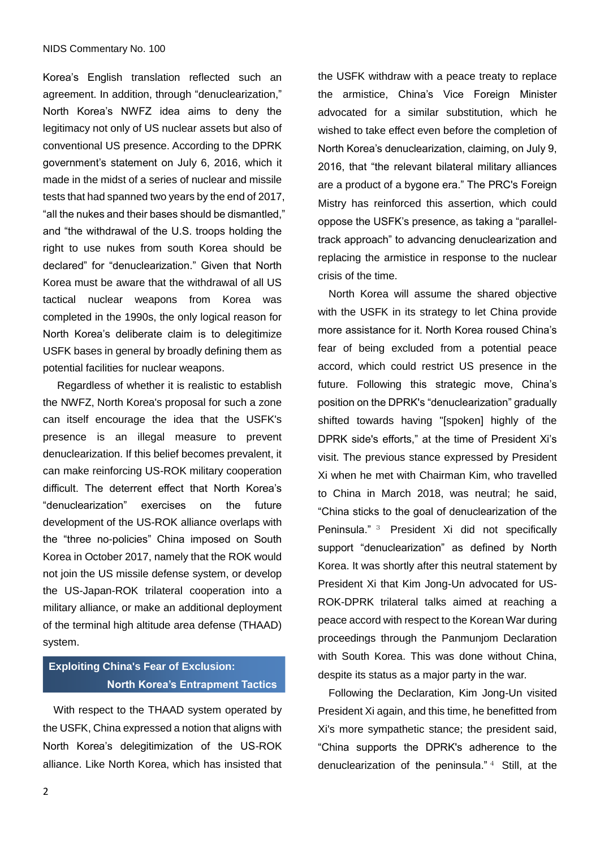Korea's English translation reflected such an agreement. In addition, through "denuclearization," North Korea's NWFZ idea aims to deny the legitimacy not only of US nuclear assets but also of conventional US presence. According to the DPRK government's statement on July 6, 2016, which it made in the midst of a series of nuclear and missile tests that had spanned two years by the end of 2017, "all the nukes and their bases should be dismantled," and "the withdrawal of the U.S. troops holding the right to use nukes from south Korea should be declared" for "denuclearization." Given that North Korea must be aware that the withdrawal of all US tactical nuclear weapons from Korea was completed in the 1990s, the only logical reason for North Korea's deliberate claim is to delegitimize USFK bases in general by broadly defining them as potential facilities for nuclear weapons.

Regardless of whether it is realistic to establish the NWFZ, North Korea's proposal for such a zone can itself encourage the idea that the USFK's presence is an illegal measure to prevent denuclearization. If this belief becomes prevalent, it can make reinforcing US-ROK military cooperation difficult. The deterrent effect that North Korea's "denuclearization" exercises on the future development of the US-ROK alliance overlaps with the "three no-policies" China imposed on South Korea in October 2017, namely that the ROK would not join the US missile defense system, or develop the US-Japan-ROK trilateral cooperation into a military alliance, or make an additional deployment of the terminal high altitude area defense (THAAD) system.

### **Exploiting China's Fear of Exclusion: North Korea's Entrapment Tactics**

With respect to the THAAD system operated by the USFK, China expressed a notion that aligns with North Korea's delegitimization of the US-ROK alliance. Like North Korea, which has insisted that the USFK withdraw with a peace treaty to replace the armistice, China's Vice Foreign Minister advocated for a similar substitution, which he wished to take effect even before the completion of North Korea's denuclearization, claiming, on July 9, 2016, that "the relevant bilateral military alliances are a product of a bygone era." The PRC's Foreign Mistry has reinforced this assertion, which could oppose the USFK's presence, as taking a "paralleltrack approach" to advancing denuclearization and replacing the armistice in response to the nuclear crisis of the time.

North Korea will assume the shared objective with the USFK in its strategy to let China provide more assistance for it. North Korea roused China's fear of being excluded from a potential peace accord, which could restrict US presence in the future. Following this strategic move, China's position on the DPRK's "denuclearization" gradually shifted towards having "[spoken] highly of the DPRK side's efforts," at the time of President Xi's visit. The previous stance expressed by President Xi when he met with Chairman Kim, who travelled to China in March 2018, was neutral; he said, "China sticks to the goal of denuclearization of the Peninsula." <sup>3</sup> President Xi did not specifically support "denuclearization" as defined by North Korea. It was shortly after this neutral statement by President Xi that Kim Jong-Un advocated for US-ROK-DPRK trilateral talks aimed at reaching a peace accord with respect to the Korean War during proceedings through the Panmunjom Declaration with South Korea. This was done without China, despite its status as a major party in the war.

Following the Declaration, Kim Jong-Un visited President Xi again, and this time, he benefitted from Xi's more sympathetic stance; the president said, "China supports the DPRK's adherence to the denuclearization of the peninsula." 4 Still, at the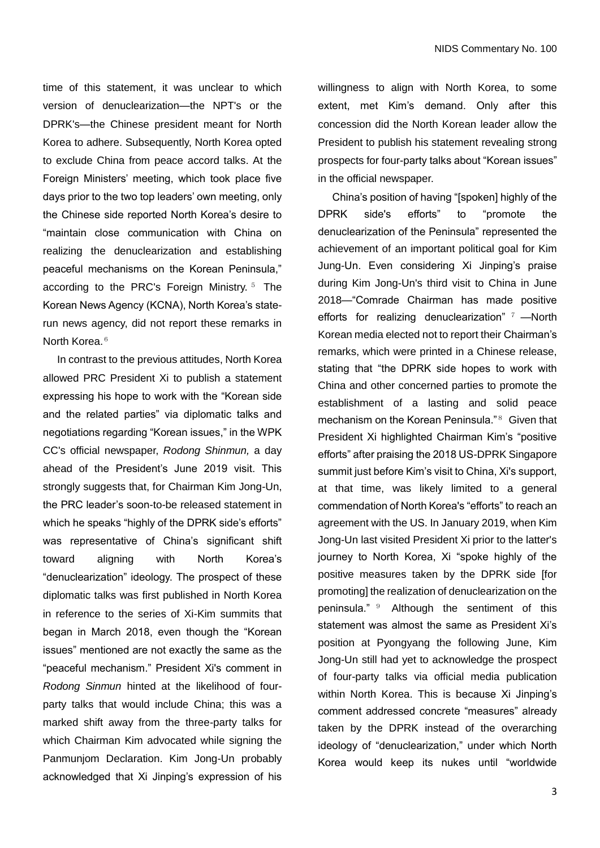time of this statement, it was unclear to which version of denuclearization—the NPT's or the DPRK's—the Chinese president meant for North Korea to adhere. Subsequently, North Korea opted to exclude China from peace accord talks. At the Foreign Ministers' meeting, which took place five days prior to the two top leaders' own meeting, only the Chinese side reported North Korea's desire to "maintain close communication with China on realizing the denuclearization and establishing peaceful mechanisms on the Korean Peninsula," according to the PRC's Foreign Ministry.<sup>5</sup> The Korean News Agency (KCNA), North Korea's staterun news agency, did not report these remarks in North Korea.<sup>6</sup>

In contrast to the previous attitudes, North Korea allowed PRC President Xi to publish a statement expressing his hope to work with the "Korean side and the related parties" via diplomatic talks and negotiations regarding "Korean issues," in the WPK CC's official newspaper, *Rodong Shinmun,* a day ahead of the President's June 2019 visit. This strongly suggests that, for Chairman Kim Jong-Un, the PRC leader's soon-to-be released statement in which he speaks "highly of the DPRK side's efforts" was representative of China's significant shift toward aligning with North Korea's "denuclearization" ideology. The prospect of these diplomatic talks was first published in North Korea in reference to the series of Xi-Kim summits that began in March 2018, even though the "Korean issues" mentioned are not exactly the same as the "peaceful mechanism." President Xi's comment in *Rodong Sinmun* hinted at the likelihood of fourparty talks that would include China; this was a marked shift away from the three-party talks for which Chairman Kim advocated while signing the Panmunjom Declaration. Kim Jong-Un probably acknowledged that Xi Jinping's expression of his

willingness to align with North Korea, to some extent, met Kim's demand. Only after this concession did the North Korean leader allow the President to publish his statement revealing strong prospects for four-party talks about "Korean issues" in the official newspaper.

China's position of having "[spoken] highly of the DPRK side's efforts" to "promote the denuclearization of the Peninsula" represented the achievement of an important political goal for Kim Jung-Un. Even considering Xi Jinping's praise during Kim Jong-Un's third visit to China in June 2018—"Comrade Chairman has made positive efforts for realizing denuclearization"  $7 -$ North Korean media elected not to report their Chairman's remarks, which were printed in a Chinese release, stating that "the DPRK side hopes to work with China and other concerned parties to promote the establishment of a lasting and solid peace mechanism on the Korean Peninsula."<sup>8</sup> Given that President Xi highlighted Chairman Kim's "positive efforts" after praising the 2018 US-DPRK Singapore summit just before Kim's visit to China, Xi's support, at that time, was likely limited to a general commendation of North Korea's "efforts" to reach an agreement with the US. In January 2019, when Kim Jong-Un last visited President Xi prior to the latter's journey to North Korea, Xi "spoke highly of the positive measures taken by the DPRK side [for promoting] the realization of denuclearization on the peninsula." <sup>9</sup> Although the sentiment of this statement was almost the same as President Xi's position at Pyongyang the following June, Kim Jong-Un still had yet to acknowledge the prospect of four-party talks via official media publication within North Korea. This is because Xi Jinping's comment addressed concrete "measures" already taken by the DPRK instead of the overarching ideology of "denuclearization," under which North Korea would keep its nukes until "worldwide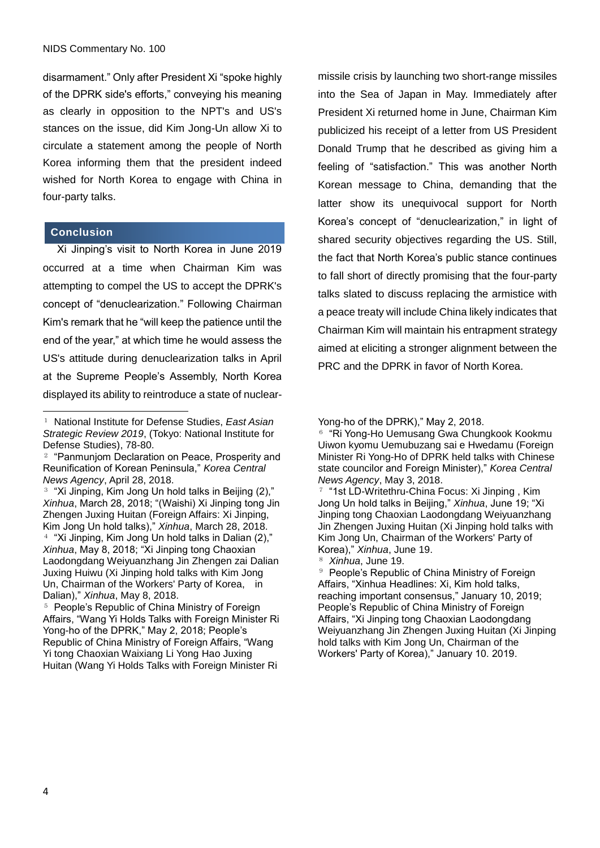disarmament." Only after President Xi "spoke highly of the DPRK side's efforts," conveying his meaning as clearly in opposition to the NPT's and US's stances on the issue, did Kim Jong-Un allow Xi to circulate a statement among the people of North Korea informing them that the president indeed wished for North Korea to engage with China in four-party talks.

#### **Conclusion**

 $\overline{a}$ 

Xi Jinping's visit to North Korea in June 2019 occurred at a time when Chairman Kim was attempting to compel the US to accept the DPRK's concept of "denuclearization." Following Chairman Kim's remark that he "will keep the patience until the end of the year," at which time he would assess the US's attitude during denuclearization talks in April at the Supreme People's Assembly, North Korea displayed its ability to reintroduce a state of nuclearmissile crisis by launching two short-range missiles into the Sea of Japan in May. Immediately after President Xi returned home in June, Chairman Kim publicized his receipt of a letter from US President Donald Trump that he described as giving him a feeling of "satisfaction." This was another North Korean message to China, demanding that the latter show its unequivocal support for North Korea's concept of "denuclearization," in light of shared security objectives regarding the US. Still, the fact that North Korea's public stance continues to fall short of directly promising that the four-party talks slated to discuss replacing the armistice with a peace treaty will include China likely indicates that Chairman Kim will maintain his entrapment strategy aimed at eliciting a stronger alignment between the PRC and the DPRK in favor of North Korea.

<sup>1</sup> National Institute for Defense Studies, *East Asian Strategic Review 2019*, (Tokyo: National Institute for Defense Studies), 78-80.

<sup>2</sup> "Panmunjom Declaration on Peace, Prosperity and Reunification of Korean Peninsula," *Korea Central News Agency*, April 28, 2018.

<sup>&</sup>lt;sup>3</sup> "Xi Jinping, Kim Jong Un hold talks in Beijing (2)," *Xinhua*, March 28, 2018; "(Waishi) Xi Jinping tong Jin Zhengen Juxing Huitan (Foreign Affairs: Xi Jinping, Kim Jong Un hold talks)," *Xinhua*, March 28, 2018. <sup>4</sup> "Xi Jinping, Kim Jong Un hold talks in Dalian (2)," *Xinhua*, May 8, 2018; "Xi Jinping tong Chaoxian Laodongdang Weiyuanzhang Jin Zhengen zai Dalian Juxing Huiwu (Xi Jinping hold talks with Kim Jong Un, Chairman of the Workers' Party of Korea, in Dalian)," *Xinhua*, May 8, 2018.

<sup>&</sup>lt;sup>5</sup> People's Republic of China Ministry of Foreign Affairs, "Wang Yi Holds Talks with Foreign Minister Ri Yong-ho of the DPRK," May 2, 2018; People's Republic of China Ministry of Foreign Affairs, "Wang Yi tong Chaoxian Waixiang Li Yong Hao Juxing Huitan (Wang Yi Holds Talks with Foreign Minister Ri

Yong-ho of the DPRK)," May 2, 2018.

<sup>&</sup>lt;sup>6</sup> "Ri Yong-Ho Uemusang Gwa Chungkook Kookmu Uiwon kyomu Uemubuzang sai e Hwedamu (Foreign Minister Ri Yong-Ho of DPRK held talks with Chinese state councilor and Foreign Minister)," *Korea Central News Agency*, May 3, 2018.

<sup>7</sup> "1st LD-Writethru-China Focus: Xi Jinping , Kim Jong Un hold talks in Beijing," *Xinhua*, June 19; "Xi Jinping tong Chaoxian Laodongdang Weiyuanzhang Jin Zhengen Juxing Huitan (Xi Jinping hold talks with Kim Jong Un, Chairman of the Workers' Party of Korea)," *Xinhua*, June 19.

<sup>8</sup> *Xinhua*, June 19.

<sup>&</sup>lt;sup>9</sup> People's Republic of China Ministry of Foreign Affairs, "Xinhua Headlines: Xi, Kim hold talks, reaching important consensus," January 10, 2019; People's Republic of China Ministry of Foreign Affairs, "Xi Jinping tong Chaoxian Laodongdang Weiyuanzhang Jin Zhengen Juxing Huitan (Xi Jinping hold talks with Kim Jong Un, Chairman of the Workers' Party of Korea)," January 10. 2019.